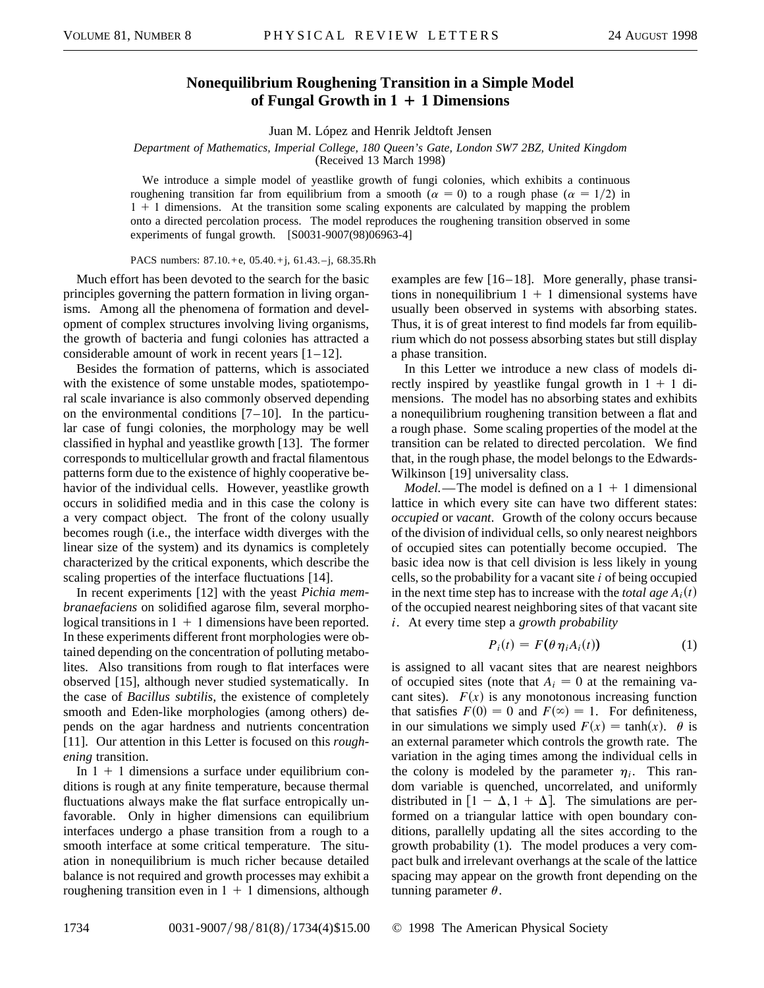## **Nonequilibrium Roughening Transition in a Simple Model of Fungal Growth in**  $1 + 1$  **Dimensions**

Juan M. López and Henrik Jeldtoft Jensen

*Department of Mathematics, Imperial College, 180 Queen's Gate, London SW7 2BZ, United Kingdom* (Received 13 March 1998)

We introduce a simple model of yeastlike growth of fungi colonies, which exhibits a continuous roughening transition far from equilibrium from a smooth ( $\alpha = 0$ ) to a rough phase ( $\alpha = 1/2$ ) in  $1 + 1$  dimensions. At the transition some scaling exponents are calculated by mapping the problem onto a directed percolation process. The model reproduces the roughening transition observed in some experiments of fungal growth. [S0031-9007(98)06963-4]

PACS numbers: 87.10. + e, 05.40. + j, 61.43. - j, 68.35.Rh

Much effort has been devoted to the search for the basic principles governing the pattern formation in living organisms. Among all the phenomena of formation and development of complex structures involving living organisms, the growth of bacteria and fungi colonies has attracted a considerable amount of work in recent years  $[1-12]$ .

Besides the formation of patterns, which is associated with the existence of some unstable modes, spatiotemporal scale invariance is also commonly observed depending on the environmental conditions  $[7-10]$ . In the particular case of fungi colonies, the morphology may be well classified in hyphal and yeastlike growth [13]. The former corresponds to multicellular growth and fractal filamentous patterns form due to the existence of highly cooperative behavior of the individual cells. However, yeastlike growth occurs in solidified media and in this case the colony is a very compact object. The front of the colony usually becomes rough (i.e., the interface width diverges with the linear size of the system) and its dynamics is completely characterized by the critical exponents, which describe the scaling properties of the interface fluctuations [14].

In recent experiments [12] with the yeast *Pichia membranaefaciens* on solidified agarose film, several morphological transitions in  $1 + 1$  dimensions have been reported. In these experiments different front morphologies were obtained depending on the concentration of polluting metabolites. Also transitions from rough to flat interfaces were observed [15], although never studied systematically. In the case of *Bacillus subtilis,* the existence of completely smooth and Eden-like morphologies (among others) depends on the agar hardness and nutrients concentration [11]. Our attention in this Letter is focused on this *roughening* transition.

In  $1 + 1$  dimensions a surface under equilibrium conditions is rough at any finite temperature, because thermal fluctuations always make the flat surface entropically unfavorable. Only in higher dimensions can equilibrium interfaces undergo a phase transition from a rough to a smooth interface at some critical temperature. The situation in nonequilibrium is much richer because detailed balance is not required and growth processes may exhibit a roughening transition even in  $1 + 1$  dimensions, although

examples are few [16–18]. More generally, phase transitions in nonequilibrium  $1 + 1$  dimensional systems have usually been observed in systems with absorbing states. Thus, it is of great interest to find models far from equilibrium which do not possess absorbing states but still display a phase transition.

In this Letter we introduce a new class of models directly inspired by yeastlike fungal growth in  $1 + 1$  dimensions. The model has no absorbing states and exhibits a nonequilibrium roughening transition between a flat and a rough phase. Some scaling properties of the model at the transition can be related to directed percolation. We find that, in the rough phase, the model belongs to the Edwards-Wilkinson [19] universality class.

*Model.*—The model is defined on a  $1 + 1$  dimensional lattice in which every site can have two different states: *occupied* or *vacant*. Growth of the colony occurs because of the division of individual cells, so only nearest neighbors of occupied sites can potentially become occupied. The basic idea now is that cell division is less likely in young cells, so the probability for a vacant site *i* of being occupied in the next time step has to increase with the *total age*  $A_i(t)$ of the occupied nearest neighboring sites of that vacant site *i*. At every time step a *growth probability*

$$
P_i(t) = F(\theta \eta_i A_i(t)) \tag{1}
$$

is assigned to all vacant sites that are nearest neighbors of occupied sites (note that  $A_i = 0$  at the remaining vacant sites).  $F(x)$  is any monotonous increasing function that satisfies  $F(0) = 0$  and  $F(\infty) = 1$ . For definiteness, in our simulations we simply used  $F(x) = \tanh(x)$ .  $\theta$  is an external parameter which controls the growth rate. The variation in the aging times among the individual cells in the colony is modeled by the parameter  $\eta_i$ . This random variable is quenched, uncorrelated, and uniformly distributed in  $[1 - \Delta, 1 + \Delta]$ . The simulations are performed on a triangular lattice with open boundary conditions, parallelly updating all the sites according to the growth probability (1). The model produces a very compact bulk and irrelevant overhangs at the scale of the lattice spacing may appear on the growth front depending on the tunning parameter  $\theta$ .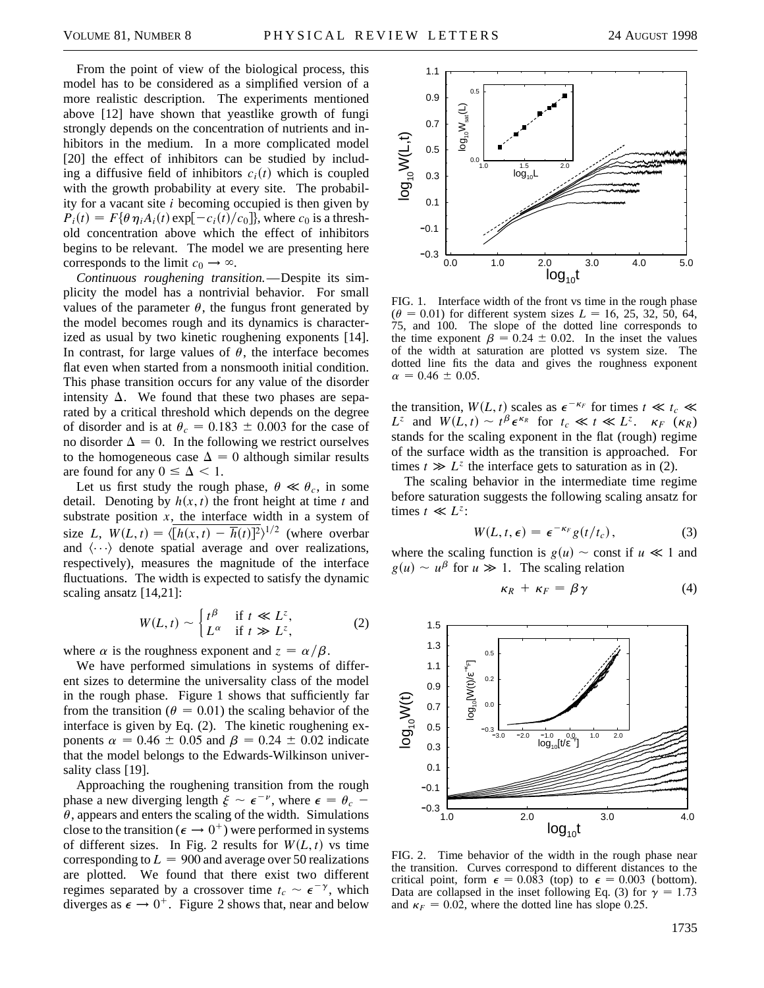From the point of view of the biological process, this model has to be considered as a simplified version of a more realistic description. The experiments mentioned above [12] have shown that yeastlike growth of fungi strongly depends on the concentration of nutrients and inhibitors in the medium. In a more complicated model [20] the effect of inhibitors can be studied by including a diffusive field of inhibitors  $c_i(t)$  which is coupled with the growth probability at every site. The probability for a vacant site *i* becoming occupied is then given by  $P_i(t) = F\{\theta \eta_i A_i(t) \exp[-c_i(t)/c_0]\},$  where  $c_0$  is a threshold concentration above which the effect of inhibitors begins to be relevant. The model we are presenting here corresponds to the limit  $c_0 \rightarrow \infty$ .

*Continuous roughening transition.*—Despite its simplicity the model has a nontrivial behavior. For small values of the parameter  $\theta$ , the fungus front generated by the model becomes rough and its dynamics is characterized as usual by two kinetic roughening exponents [14]. In contrast, for large values of  $\theta$ , the interface becomes flat even when started from a nonsmooth initial condition. This phase transition occurs for any value of the disorder intensity  $\Delta$ . We found that these two phases are separated by a critical threshold which depends on the degree of disorder and is at  $\theta_c = 0.183 \pm 0.003$  for the case of no disorder  $\Delta = 0$ . In the following we restrict ourselves to the homogeneous case  $\Delta = 0$  although similar results are found for any  $0 \leq \Delta < 1$ .

Let us first study the rough phase,  $\theta \ll \theta_c$ , in some detail. Denoting by  $h(x, t)$  the front height at time  $t$  and substrate position  $x$ , the interface width in a system of size *L*,  $W(L, t) = \langle [h(x, t) - \overline{h}(t)]^2 \rangle^{1/2}$  (where overbar and  $\langle \cdots \rangle$  denote spatial average and over realizations, respectively), measures the magnitude of the interface fluctuations. The width is expected to satisfy the dynamic scaling ansatz [14,21]:

$$
W(L, t) \sim \begin{cases} t^{\beta} & \text{if } t \ll L^{z}, \\ L^{\alpha} & \text{if } t \gg L^{z}, \end{cases}
$$
 (2)

where  $\alpha$  is the roughness exponent and  $z = \alpha/\beta$ .

We have performed simulations in systems of different sizes to determine the universality class of the model in the rough phase. Figure 1 shows that sufficiently far from the transition ( $\theta = 0.01$ ) the scaling behavior of the interface is given by Eq. (2). The kinetic roughening exponents  $\alpha = 0.46 \pm 0.05$  and  $\beta = 0.24 \pm 0.02$  indicate that the model belongs to the Edwards-Wilkinson universality class [19].

Approaching the roughening transition from the rough phase a new diverging length  $\xi \sim \epsilon^{-\nu}$ , where  $\epsilon = \theta_c$  –  $\theta$ , appears and enters the scaling of the width. Simulations close to the transition ( $\epsilon \rightarrow 0^+$ ) were performed in systems of different sizes. In Fig. 2 results for  $W(L, t)$  vs time corresponding to  $L = 900$  and average over 50 realizations are plotted. We found that there exist two different regimes separated by a crossover time  $t_c \sim \epsilon^{-\gamma}$ , which diverges as  $\epsilon \to 0^+$ . Figure 2 shows that, near and below



FIG. 1. Interface width of the front vs time in the rough phase  $(\theta = 0.01)$  for different system sizes  $L = 16, 25, 32, 50, 64,$ 75, and 100. The slope of the dotted line corresponds to the time exponent  $\beta = 0.24 \pm 0.02$ . In the inset the values of the width at saturation are plotted vs system size. The dotted line fits the data and gives the roughness exponent  $\alpha = 0.46 \pm 0.05$ .

the transition,  $W(L, t)$  scales as  $\epsilon^{-\kappa_F}$  for times  $t \ll t_c \ll t_c$ *L*<sup>*z*</sup> and  $W(L, t) \sim t^{\beta} \epsilon^{\kappa_R}$  for  $t_c \ll t \ll L^z$ .  $\kappa_F (\kappa_R)$ stands for the scaling exponent in the flat (rough) regime of the surface width as the transition is approached. For times  $t \gg L^z$  the interface gets to saturation as in (2).

The scaling behavior in the intermediate time regime before saturation suggests the following scaling ansatz for times  $t \ll L^z$ :

$$
W(L, t, \epsilon) = \epsilon^{-\kappa_F} g(t/t_c), \qquad (3)
$$

where the scaling function is  $g(u) \sim$  const if  $u \ll 1$  and  $g(u) \sim u^{\beta}$  for  $u \gg 1$ . The scaling relation

$$
\kappa_R + \kappa_F = \beta \gamma \tag{4}
$$



FIG. 2. Time behavior of the width in the rough phase near the transition. Curves correspond to different distances to the critical point, form  $\epsilon = 0.083$  (top) to  $\epsilon = 0.003$  (bottom). Data are collapsed in the inset following Eq. (3) for  $\gamma = 1.73$ and  $\kappa_F = 0.02$ , where the dotted line has slope 0.25.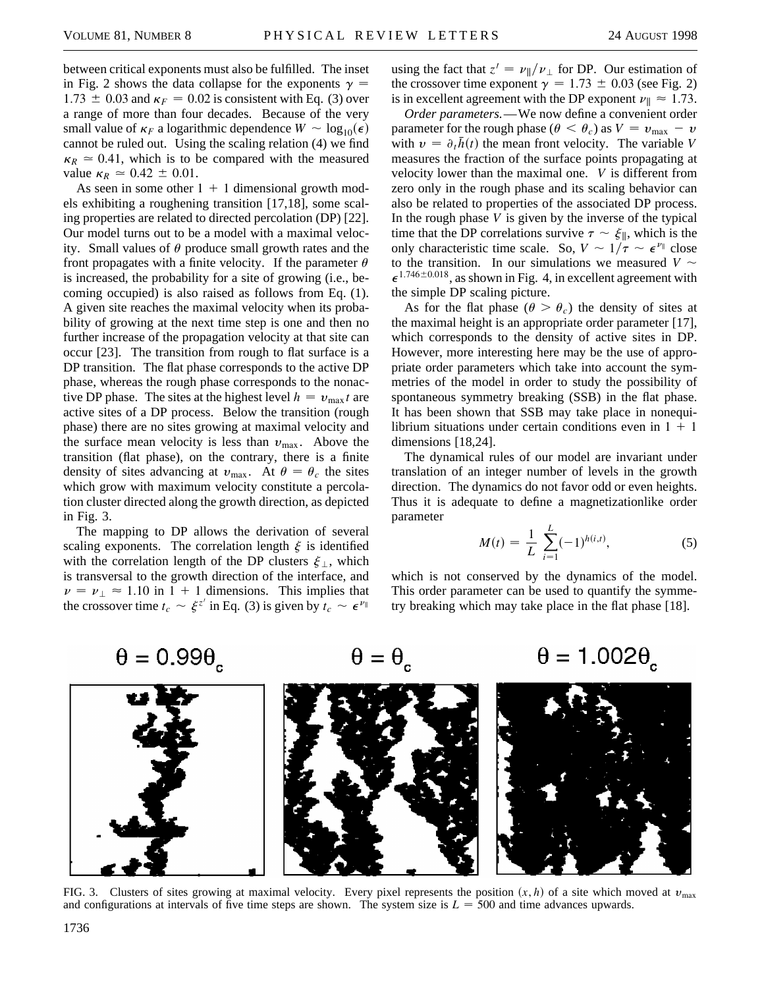between critical exponents must also be fulfilled. The inset in Fig. 2 shows the data collapse for the exponents  $\gamma =$  $1.73 \pm 0.03$  and  $\kappa_F = 0.02$  is consistent with Eq. (3) over a range of more than four decades. Because of the very small value of  $\kappa_F$  a logarithmic dependence  $W \sim \log_{10}(\epsilon)$ cannot be ruled out. Using the scaling relation (4) we find  $\kappa_R \approx 0.41$ , which is to be compared with the measured value  $\kappa_R \simeq 0.42 \pm 0.01$ .

As seen in some other  $1 + 1$  dimensional growth models exhibiting a roughening transition [17,18], some scaling properties are related to directed percolation (DP) [22]. Our model turns out to be a model with a maximal velocity. Small values of  $\theta$  produce small growth rates and the front propagates with a finite velocity. If the parameter  $\theta$ is increased, the probability for a site of growing (i.e., becoming occupied) is also raised as follows from Eq. (1). A given site reaches the maximal velocity when its probability of growing at the next time step is one and then no further increase of the propagation velocity at that site can occur [23]. The transition from rough to flat surface is a DP transition. The flat phase corresponds to the active DP phase, whereas the rough phase corresponds to the nonactive DP phase. The sites at the highest level  $h = v_{\text{max}}t$  are active sites of a DP process. Below the transition (rough phase) there are no sites growing at maximal velocity and the surface mean velocity is less than  $v_{\text{max}}$ . Above the transition (flat phase), on the contrary, there is a finite density of sites advancing at  $v_{\text{max}}$ . At  $\theta = \theta_c$  the sites which grow with maximum velocity constitute a percolation cluster directed along the growth direction, as depicted in Fig. 3.

The mapping to DP allows the derivation of several scaling exponents. The correlation length  $\xi$  is identified with the correlation length of the DP clusters  $\xi_{\perp}$ , which is transversal to the growth direction of the interface, and  $\nu = \nu_{\perp} \approx 1.10$  in 1 + 1 dimensions. This implies that the crossover time  $t_c \sim \xi^{z'}$  in Eq. (3) is given by  $t_c \sim \epsilon^{v_{\parallel}}$ 

using the fact that  $z' = \nu_{\parallel}/\nu_{\perp}$  for DP. Our estimation of the crossover time exponent  $\gamma = 1.73 \pm 0.03$  (see Fig. 2) is in excellent agreement with the DP exponent  $\nu_{\parallel} \approx 1.73$ .

*Order parameters.*—We now define a convenient order parameter for the rough phase ( $\theta < \theta_c$ ) as  $V = v_{\text{max}} - v$ with  $v = \partial_t \bar{h}(t)$  the mean front velocity. The variable *V* measures the fraction of the surface points propagating at velocity lower than the maximal one. *V* is different from zero only in the rough phase and its scaling behavior can also be related to properties of the associated DP process. In the rough phase *V* is given by the inverse of the typical time that the DP correlations survive  $\tau \sim \xi_{\parallel}$ , which is the only characteristic time scale. So,  $V \sim 1/\tau \sim \epsilon^{\nu_{\parallel}}$  close to the transition. In our simulations we measured  $V \sim$  $\epsilon^{1.746\pm0.018}$ , as shown in Fig. 4, in excellent agreement with the simple DP scaling picture.

As for the flat phase ( $\theta > \theta_c$ ) the density of sites at the maximal height is an appropriate order parameter [17], which corresponds to the density of active sites in DP. However, more interesting here may be the use of appropriate order parameters which take into account the symmetries of the model in order to study the possibility of spontaneous symmetry breaking (SSB) in the flat phase. It has been shown that SSB may take place in nonequilibrium situations under certain conditions even in  $1 + 1$ dimensions [18,24].

The dynamical rules of our model are invariant under translation of an integer number of levels in the growth direction. The dynamics do not favor odd or even heights. Thus it is adequate to define a magnetizationlike order parameter

$$
M(t) = \frac{1}{L} \sum_{i=1}^{L} (-1)^{h(i,t)},
$$
 (5)

which is not conserved by the dynamics of the model. This order parameter can be used to quantify the symmetry breaking which may take place in the flat phase [18].

$$
\begin{array}{c}\n\theta = 0.99\theta, & \theta = \theta, & \theta = 1.002\theta, \\
\hline\n\end{array}
$$

FIG. 3. Clusters of sites growing at maximal velocity. Every pixel represents the position  $(x, h)$  of a site which moved at  $v_{\text{max}}$ and configurations at intervals of five time steps are shown. The system size is  $L = 500$  and time advances upwards.